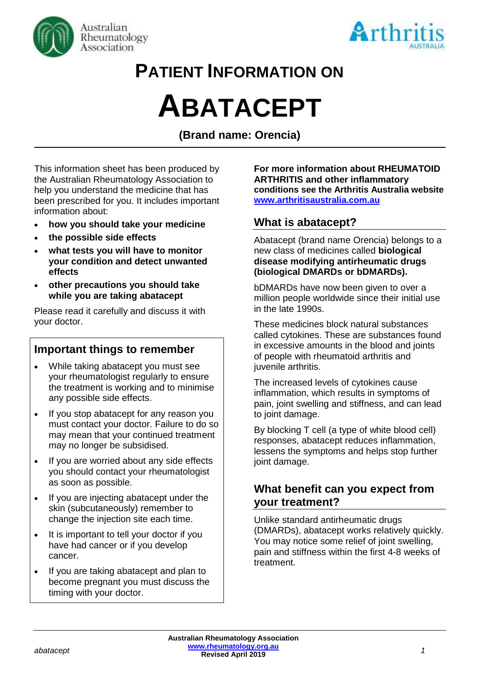



# **PATIENT INFORMATION ON**

# **ABATACEPT**

**(Brand name: Orencia)**

This information sheet has been produced by the Australian Rheumatology Association to help you understand the medicine that has been prescribed for you. It includes important information about:

- **how you should take your medicine**
- **the possible side effects**
- **what tests you will have to monitor your condition and detect unwanted effects**
- **other precautions you should take while you are taking abatacept**

Please read it carefully and discuss it with your doctor.

#### **Important things to remember**

- While taking abatacept you must see your rheumatologist regularly to ensure the treatment is working and to minimise any possible side effects.
- If you stop abatacept for any reason you must contact your doctor. Failure to do so may mean that your continued treatment may no longer be subsidised.
- If you are worried about any side effects you should contact your rheumatologist as soon as possible.
- If you are injecting abatacept under the skin (subcutaneously) remember to change the injection site each time.
- It is important to tell your doctor if you have had cancer or if you develop cancer.
- If you are taking abatacept and plan to become pregnant you must discuss the timing with your doctor.

**For more information about RHEUMATOID ARTHRITIS and other inflammatory conditions see the Arthritis Australia website [www.arthritisaustralia.com.au](http://www.arthritisaustralia.com.au/)**

#### **What is abatacept?**

Abatacept (brand name Orencia) belongs to a new class of medicines called **biological disease modifying antirheumatic drugs (biological DMARDs or bDMARDs).** 

bDMARDs have now been given to over a million people worldwide since their initial use in the late 1990s.

These medicines block natural substances called cytokines. These are substances found in excessive amounts in the blood and joints of people with rheumatoid arthritis and juvenile arthritis.

The increased levels of cytokines cause inflammation, which results in symptoms of pain, joint swelling and stiffness, and can lead to joint damage.

By blocking T cell (a type of white blood cell) responses, abatacept reduces inflammation, lessens the symptoms and helps stop further joint damage.

#### **What benefit can you expect from your treatment?**

Unlike standard antirheumatic drugs (DMARDs), abatacept works relatively quickly. You may notice some relief of joint swelling, pain and stiffness within the first 4-8 weeks of treatment.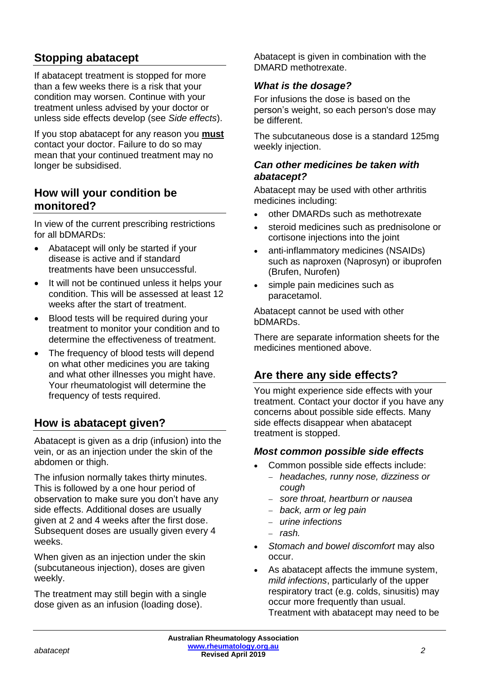# **Stopping abatacept**

If abatacept treatment is stopped for more than a few weeks there is a risk that your condition may worsen. Continue with your treatment unless advised by your doctor or unless side effects develop (see *Side effects*).

If you stop abatacept for any reason you **must** contact your doctor. Failure to do so may mean that your continued treatment may no longer be subsidised.

#### **How will your condition be monitored?**

In view of the current prescribing restrictions for all bDMARDs:

- Abatacept will only be started if your disease is active and if standard treatments have been unsuccessful.
- It will not be continued unless it helps your condition. This will be assessed at least 12 weeks after the start of treatment.
- Blood tests will be required during your treatment to monitor your condition and to determine the effectiveness of treatment.
- The frequency of blood tests will depend on what other medicines you are taking and what other illnesses you might have. Your rheumatologist will determine the frequency of tests required.

# **How is abatacept given?**

Abatacept is given as a drip (infusion) into the vein, or as an injection under the skin of the abdomen or thigh.

The infusion normally takes thirty minutes. This is followed by a one hour period of observation to make sure you don't have any side effects. Additional doses are usually given at 2 and 4 weeks after the first dose. Subsequent doses are usually given every 4 weeks.

When given as an injection under the skin (subcutaneous injection), doses are given weekly.

The treatment may still begin with a single dose given as an infusion (loading dose).

Abatacept is given in combination with the DMARD methotrexate.

#### *What is the dosage?*

For infusions the dose is based on the person's weight, so each person's dose may be different.

The subcutaneous dose is a standard 125mg weekly injection.

#### *Can other medicines be taken with abatacept?*

Abatacept may be used with other arthritis medicines including:

- other DMARDs such as methotrexate
- steroid medicines such as prednisolone or cortisone injections into the joint
- anti-inflammatory medicines (NSAIDs) such as naproxen (Naprosyn) or ibuprofen (Brufen, Nurofen)
- simple pain medicines such as paracetamol.

Abatacept cannot be used with other bDMARDs.

There are separate information sheets for the medicines mentioned above.

# **Are there any side effects?**

You might experience side effects with your treatment. Contact your doctor if you have any concerns about possible side effects. Many side effects disappear when abatacept treatment is stopped.

#### *Most common possible side effects*

- Common possible side effects include:
	- − *headaches, runny nose, dizziness or cough*
	- − *sore throat, heartburn or nausea*
	- − *back, arm or leg pain*
	- − *urine infections*
	- − *rash.*
- *Stomach and bowel discomfort* may also occur.
- As abatacept affects the immune system, *mild infections*, particularly of the upper respiratory tract (e.g. colds, sinusitis) may occur more frequently than usual. Treatment with abatacept may need to be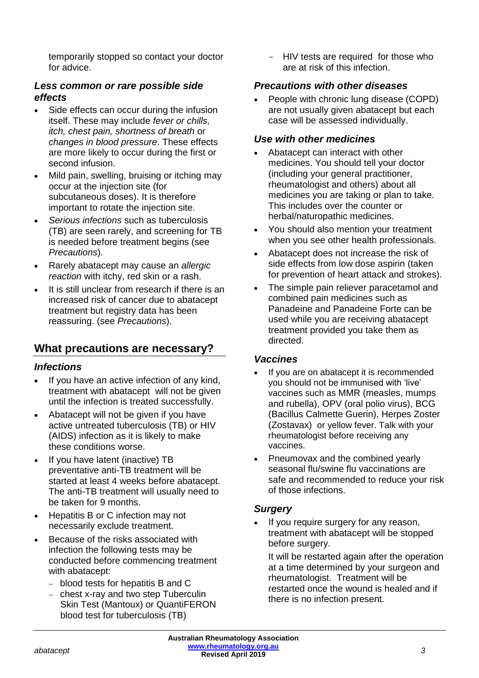temporarily stopped so contact your doctor for advice.

#### *Less common or rare possible side effects*

- Side effects can occur during the infusion itself. These may include *fever or chills, itch, chest pain, shortness of breath* or *changes in blood pressure*. These effects are more likely to occur during the first or second infusion.
- Mild pain, swelling, bruising or itching may occur at the injection site (for subcutaneous doses). It is therefore important to rotate the injection site.
- *Serious infections* such as tuberculosis (TB) are seen rarely, and screening for TB is needed before treatment begins (see *Precautions*).
- Rarely abatacept may cause an *allergic reaction* with itchy, red skin or a rash.
- It is still unclear from research if there is an increased risk of cancer due to abatacept treatment but registry data has been reassuring. (see *Precautions*).

#### **What precautions are necessary?**

#### *Infections*

- If you have an active infection of any kind, treatment with abatacept will not be given until the infection is treated successfully.
- Abatacept will not be given if you have active untreated tuberculosis (TB) or HIV (AIDS) infection as it is likely to make these conditions worse.
- If you have latent (inactive) TB preventative anti-TB treatment will be started at least 4 weeks before abatacept. The anti-TB treatment will usually need to be taken for 9 months.
- Hepatitis B or C infection may not necessarily exclude treatment.
- Because of the risks associated with infection the following tests may be conducted before commencing treatment with abatacept:
	- − blood tests for hepatitis B and C
	- − chest x-ray and two step Tuberculin Skin Test (Mantoux) or QuantiFERON blood test for tuberculosis (TB)

- HIV tests are required for those who are at risk of this infection.

#### *Precautions with other diseases*

• People with chronic lung disease (COPD) are not usually given abatacept but each case will be assessed individually.

#### *Use with other medicines*

- Abatacept can interact with other medicines. You should tell your doctor (including your general practitioner, rheumatologist and others) about all medicines you are taking or plan to take. This includes over the counter or herbal/naturopathic medicines.
- You should also mention your treatment when you see other health professionals.
- Abatacept does not increase the risk of side effects from low dose aspirin (taken for prevention of heart attack and strokes).
- The simple pain reliever paracetamol and combined pain medicines such as Panadeine and Panadeine Forte can be used while you are receiving abatacept treatment provided you take them as directed.

#### *Vaccines*

- If you are on abatacept it is recommended you should not be immunised with 'live' vaccines such as MMR (measles, mumps and rubella), OPV (oral polio virus), BCG (Bacillus Calmette Guerin), Herpes Zoster (Zostavax) or yellow fever. Talk with your rheumatologist before receiving any vaccines.
- Pneumovax and the combined yearly seasonal flu/swine flu vaccinations are safe and recommended to reduce your risk of those infections.

#### *Surgery*

If you require surgery for any reason, treatment with abatacept will be stopped before surgery.

It will be restarted again after the operation at a time determined by your surgeon and rheumatologist. Treatment will be restarted once the wound is healed and if there is no infection present.